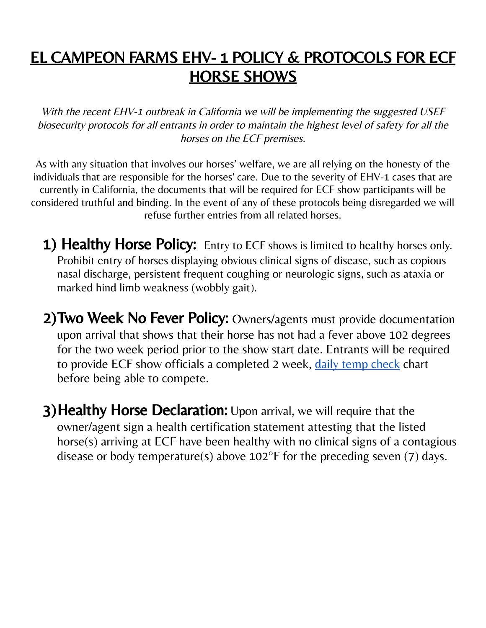## EL CAMPEON FARMS EHV- 1 POLICY & PROTOCOLS FOR ECF **HORSE SHOWS**

With the recent EHV-1 outbreak in California we will be implementing the suggested USEF biosecurity protocols for all entrants in order to maintain the highest level of safety for all the horses on the ECF premises.

As with any situation that involves our horses' welfare, we are all relying on the honesty of the individuals that are responsible for the horses' care. Due to the severity of EHV-1 cases that are currently in California, the documents that will be required for ECF show participants will be considered truthful and binding. In the event of any of these protocols being disregarded we will refuse further entries from all related horses.

- 1) Healthy Horse Policy: Entry to ECF shows is limited to healthy horses only. Prohibit entry of horses displaying obvious clinical signs of disease, such as copious nasal discharge, persistent frequent coughing or neurologic signs, such as ataxia or marked hind limb weakness (wobbly gait).
- 2) Two Week No Fever Policy: Owners/agents must provide documentation upon arrival that shows that their horse has not had a fever above 102 degrees for the two week period prior to the show start date. Entrants will be required to provide ECF show officials a completed 2 week, daily temp [check](https://docs.google.com/spreadsheets/u/0/d/1pah3abctlAOvEgxrxaUzV10lyxV-cZkjVwBgPsieg98/edit) chart before being able to compete.
- 3) Healthy Horse Declaration: Upon arrival, we will require that the owner/agent sign a health certification statement attesting that the listed horse(s) arriving at ECF have been healthy with no clinical signs of a contagious disease or body temperature(s) above 102°F for the preceding seven (7) days.